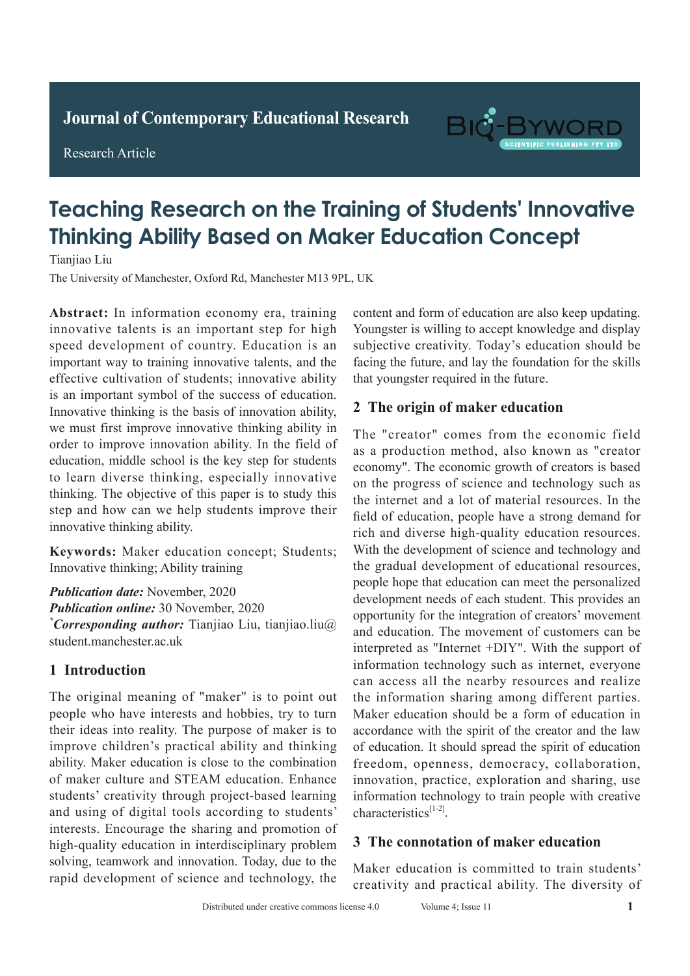**Journal of Clinical and Nursing Research Journal of Contemporary Educational Research**

**Research Article** 

Research Article



# **Teaching Research on the Training of Students' Innovative Thinking Ability Based on Maker Education Concept Adult with Active Pulmonary Tuberculosis Active Pulmonary Tuberculosis**

Tianjiao Liu

The University of Manchester, Oxford Rd, Manchester M13 9PL, UK

Abstract: In information economy era, training innovative talents is an important step for high speed development of country. Education is an important way to training innovative talents, and the effective cultivation of students; innovative ability is an important symbol of the success of education. Innovative thinking is the basis of innovation ability, we must first improve innovative thinking ability in order to improve innovation ability. In the field of education, middle school is the key step for students to learn diverse thinking, especially innovative thinking. The objective of this paper is to study this step and how can we help students improve their innovative thinking ability. statistically significant compared with the detection

Keywords: Maker education concept; Students; Innovative thinking; Ability training

Publication date: November, 2020 *Publication online: 30 November, 2020* \*Corresponding author: Tianjiao Liu, tianjiao.liu@ student.manchester.ac.uk rate of 92.00% (*P*>0.05) in the conventional chest

#### **1 Introduction** pulmonary tuberculosis signs was 98.85% higher than

The original meaning of "maker" is to point out people who have interests and hobbies, try to turn their ideas into reality. The purpose of maker is to  $\frac{1}{\sqrt{2}}$ improve children's practical ability and thinking of maker culture and STEAM education. Enhance students' creativity through project-based learning and using of digital tools according to students' interests. Encourage the sharing and promotion of high-quality education in interdisciplinary problem solving, teamwork and innovation. Today, due to the Frapid development of science and technology, the ability. Maker education is close to the combination *Publication date:* May, 2020 *\*Corresponding author:* Ruishu Wang, wrs26121939@

content and form of education are also keep updating. Youngster is willing to accept knowledge and display subjective creativity. Today's education should be facing the future, and lay the foundation for the skills that youngster required in the future.

#### 2 The origin of maker education spectrum, low feather is and father which can easily be a strong father of  $\frac{1}{2}$

treatment time is missed, causing respiratory disorders The "creator" comes from the economic field as a production method, also known as "creator economy". The economic growth of creators is based on the progress of science and technology such as the internet and a lot of material resources. In the field of education, people have a strong demand for rich and diverse high-quality education resources. With the development of science and technology and the gradual development of educational resources, people hope that education can meet the personalized development needs of each student. This provides an opportunity for the integration of creators' movement and education. The movement of customers can be interpreted as "Internet +DIY". With the support of information technology such as internet, everyone monhation technology sten as interior, everyone the information sharing among different parties. Maker education should be a form of education in of education. It should spread the spirit of education innovation, practice, exploration and sharing, use information technology to train people with creative  $\text{characteristics}^{[1-2]}.$ accordance with the spirit of the creator and the law freedom, openness, democracy, collaboration,

#### hospital from January 2018 to November 2019 were 3 The connotation of maker education

Maker education is committed to train students' creativity and practical ability. The diversity of Maker education is committed to train students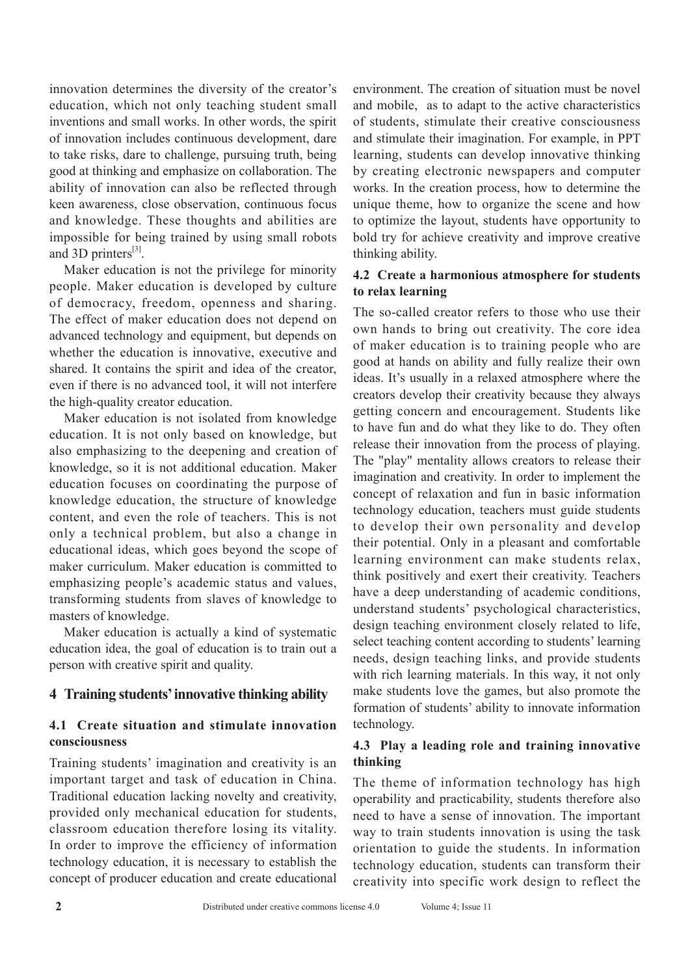innovation determines the diversity of the creator's education, which not only teaching student small inventions and small works. In other words, the spirit of innovation includes continuous development, dare to take risks, dare to challenge, pursuing truth, being good at thinking and emphasize on collaboration. The ability of innovation can also be reflected through keen awareness, close observation, continuous focus and knowledge. These thoughts and abilities are impossible for being trained by using small robots and 3D printers $^{[3]}$ .

Maker education is not the privilege for minority people. Maker education is developed by culture of democracy, freedom, openness and sharing. The effect of maker education does not depend on advanced technology and equipment, but depends on whether the education is innovative, executive and shared. It contains the spirit and idea of the creator, even if there is no advanced tool, it will not interfere the high-quality creator education.

Maker education is not isolated from knowledge education. It is not only based on knowledge, but also emphasizing to the deepening and creation of knowledge, so it is not additional education. Maker education focuses on coordinating the purpose of knowledge education, the structure of knowledge content, and even the role of teachers. This is not only a technical problem, but also a change in educational ideas, which goes beyond the scope of maker curriculum. Maker education is committed to emphasizing people's academic status and values, transforming students from slaves of knowledge to masters of knowledge.

Maker education is actually a kind of systematic education idea, the goal of education is to train out a person with creative spirit and quality.

## **4 Training students' innovative thinking ability**

## **4.1 Create situation and stimulate innovation consciousness**

Training students' imagination and creativity is an important target and task of education in China. Traditional education lacking novelty and creativity, provided only mechanical education for students, classroom education therefore losing its vitality. In order to improve the efficiency of information technology education, it is necessary to establish the concept of producer education and create educational environment. The creation of situation must be novel and mobile, as to adapt to the active characteristics of students, stimulate their creative consciousness and stimulate their imagination. For example, in PPT learning, students can develop innovative thinking by creating electronic newspapers and computer works. In the creation process, how to determine the unique theme, how to organize the scene and how to optimize the layout, students have opportunity to bold try for achieve creativity and improve creative thinking ability.

#### **4.2 Create a harmonious atmosphere for students to relax learning**

The so-called creator refers to those who use their own hands to bring out creativity. The core idea of maker education is to training people who are good at hands on ability and fully realize their own ideas. It's usually in a relaxed atmosphere where the creators develop their creativity because they always getting concern and encouragement. Students like to have fun and do what they like to do. They often release their innovation from the process of playing. The "play" mentality allows creators to release their imagination and creativity. In order to implement the concept of relaxation and fun in basic information technology education, teachers must guide students to develop their own personality and develop their potential. Only in a pleasant and comfortable learning environment can make students relax, think positively and exert their creativity. Teachers have a deep understanding of academic conditions, understand students' psychological characteristics, design teaching environment closely related to life, select teaching content according to students' learning needs, design teaching links, and provide students with rich learning materials. In this way, it not only make students love the games, but also promote the formation of students' ability to innovate information technology.

## **4.3 Play a leading role and training innovative thinking**

The theme of information technology has high operability and practicability, students therefore also need to have a sense of innovation. The important way to train students innovation is using the task orientation to guide the students. In information technology education, students can transform their creativity into specific work design to reflect the